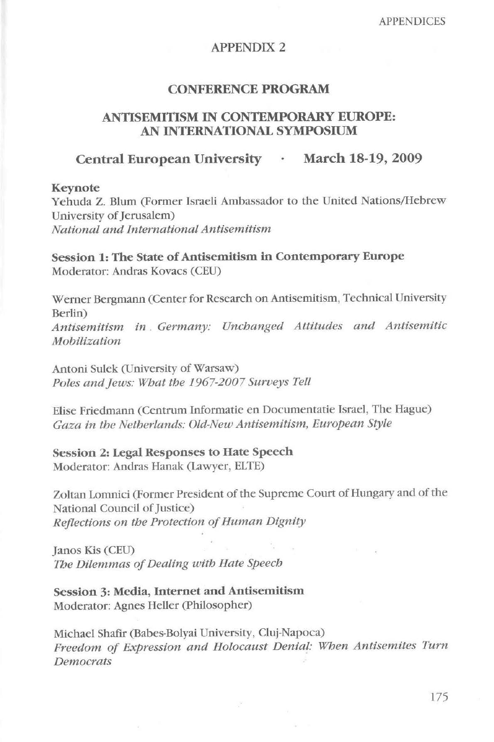# APPENDIX 2

### **CONFERENCE PROGRAM**

## **ANTISEMITISM 1N CONTEMPORARY EUROPE: AN INTERNATIONAL SYMPOSIUM**

## Central European University · March 18-19, 2009

#### **Keynote**

Yehuda Z. Blum (Former Israeli Ambassador to the United Nations/Hebrew University of Jerusalem) *National ana International Antisemitism* 

**Session 1: The State of Antisemitism** in **Contemporary Europe**  Moderator: Andras Kovacs (CEU)

Werner Bergmann (Center for Research on Antisemitism, Technical University Berlin) *Antisemitism in . Germany: Unchanged Attitudes and Antisemitic Mobilization* 

Antoni Sulek (University of Warsaw) Poles and Jews: What the 1967-2007 Surveys Tell

Elise Friedmann (Centrum Informatie en Documentatie Israel, The Hague) Gaza in the Netherlands: Old-New Antisemitism, European Style

**Session 2: Legal Responses to Hate Speech**  Moderator: Andras Hanak (Lawyer, ELTE)

Zoltan Lomnici (Former President of the Supreme Court of Hungary and of the National Council of Justice) *Reflections on the Protection of Human Dignity* 

Janos Kis (CEU) *The Dílemmas of Dealing with Hate Speech* 

**Session** 3: **Media, Internet and Antisemitism**  Moderator: Agnes Heller (Philosopher)

Michael Shafir (Babes-Bolyai University, Cluj-Napoca) *Freedom of Expression ana Holocaust Denial: When Antisemites Turn Democrats*